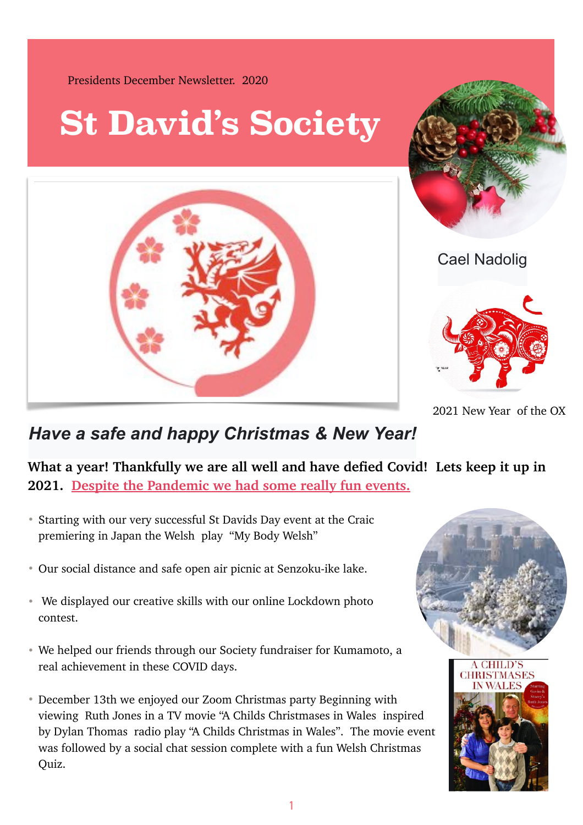

2021 New Year of the OX

## *Have a safe and happy Christmas & New Year!*

**What a year! Thankfully we are all well and have defied Covid! Lets keep it up in 2021. Despite the Pandemic we had some really fun events.**

- Starting with our very successful St Davids Day event at the Craic premiering in Japan the Welsh play "My Body Welsh"
- Our social distance and safe open air picnic at Senzoku-ike lake.
- We displayed our creative skills with our online Lockdown photo contest.
- We helped our friends through our Society fundraiser for Kumamoto, a real achievement in these COVID days.
- December 13th we enjoyed our Zoom Christmas party Beginning with viewing Ruth Jones in a TV movie "A Childs Christmases in Wales inspired by Dylan Thomas radio play "A Childs Christmas in Wales". The movie event was followed by a social chat session complete with a fun Welsh Christmas Quiz.